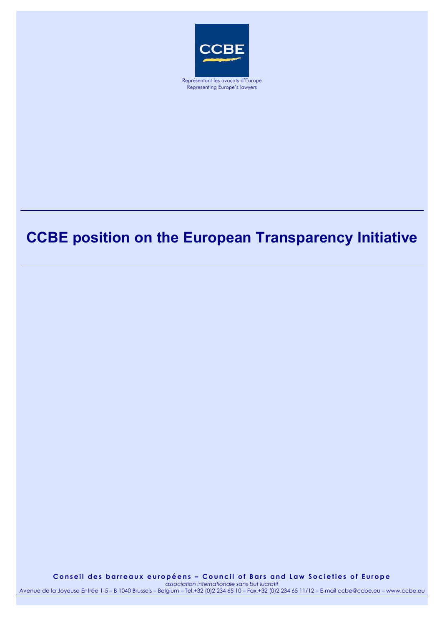

Représentant les avocats d'Europe Representing Europe's lawyers

## **CCBE position on the European Transparency Initiative**

**Conseil des barreaux européens – Council of Bars and Law Societies of Europe**  *association internationale sans but lucratif*

Avenue de la Joyeuse Entrée 1-5 – B 1040 Brussels – Belgium – Tel.+32 (0)2 234 65 10 – Fax.+32 (0)2 234 65 11/12 – E-mail ccbe@ccbe.eu – www.ccbe.eu